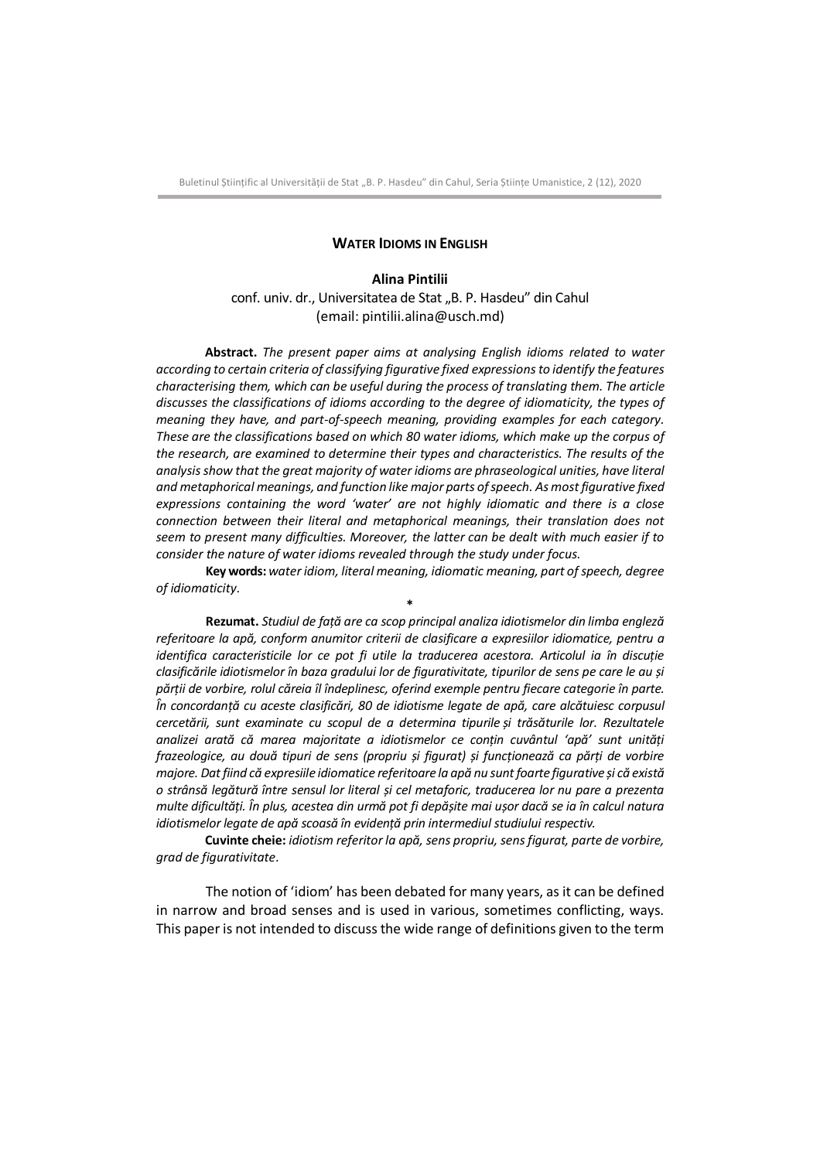Buletinul Stiințific al Universității de Stat ..B. P. Hasdeu" din Cahul, Seria Științe Umanistice, 2 (12), 2020

## **WATER IDIOMS IN ENGLISH**

## **Alina Pintilii**

conf. univ. dr., Universitatea de Stat ..B. P. Hasdeu" din Cahul (email: pintilii.alina@usch.md)

**Abstract.** *The present paper aims at analysing English idioms related to water according to certain criteria of classifying figurative fixed expressions to identify the features characterising them, which can be useful during the process of translating them. The article discusses the classifications of idioms according to the degree of idiomaticity, the types of meaning they have, and part-of-speech meaning, providing examples for each category. These are the classifications based on which 80 water idioms, which make up the corpus of the research, are examined to determine their types and characteristics. The results of the analysis show that the great majority of water idioms are phraseological unities, have literal and metaphorical meanings, and function like major parts of speech. As most figurative fixed expressions containing the word 'water' are not highly idiomatic and there is a close connection between their literal and metaphorical meanings, their translation does not seem to present many difficulties. Moreover, the latter can be dealt with much easier if to consider the nature of water idioms revealed through the study under focus*.

**Key words:** *water idiom, literal meaning, idiomatic meaning, part of speech, degree of idiomaticity*. **\***

**Rezumat.** *Studiul de față are ca scop principal analiza idiotismelor din limba engleză referitoare la apă, conform anumitor criterii de clasificare a expresiilor idiomatice, pentru a identifica caracteristicile lor ce pot fi utile la traducerea acestora. Articolul ia în discuție clasificările idiotismelor în baza gradului lor de figurativitate, tipurilor de sens pe care le au și părții de vorbire, rolul căreia îl îndeplinesc, oferind exemple pentru fiecare categorie în parte. În concordanță cu aceste clasificări, 80 de idiotisme legate de apă, care alcătuiesc corpusul cercetării, sunt examinate cu scopul de a determina tipurile și trăsăturile lor. Rezultatele analizei arată că marea majoritate a idiotismelor ce conțin cuvântul 'apă' sunt unități frazeologice, au două tipuri de sens (propriu și figurat) și funcționează ca părți de vorbire majore. Dat fiind că expresiile idiomatice referitoare la apă nu sunt foarte figurative și că există o strânsă legătură între sensul lor literal și cel metaforic, traducerea lor nu pare a prezenta multe dificultăți. În plus, acestea din urmă pot fi depășite mai ușor dacă se ia în calcul natura idiotismelor legate de apă scoasă în evidență prin intermediul studiului respectiv.*

**Cuvinte cheie:** *idiotism referitor la apă, sens propriu, sens figurat, parte de vorbire, grad de figurativitate*.

The notion of 'idiom' has been debated for many years, as it can be defined in narrow and broad senses and is used in various, sometimes conflicting, ways. This paper is not intended to discuss the wide range of definitions given to the term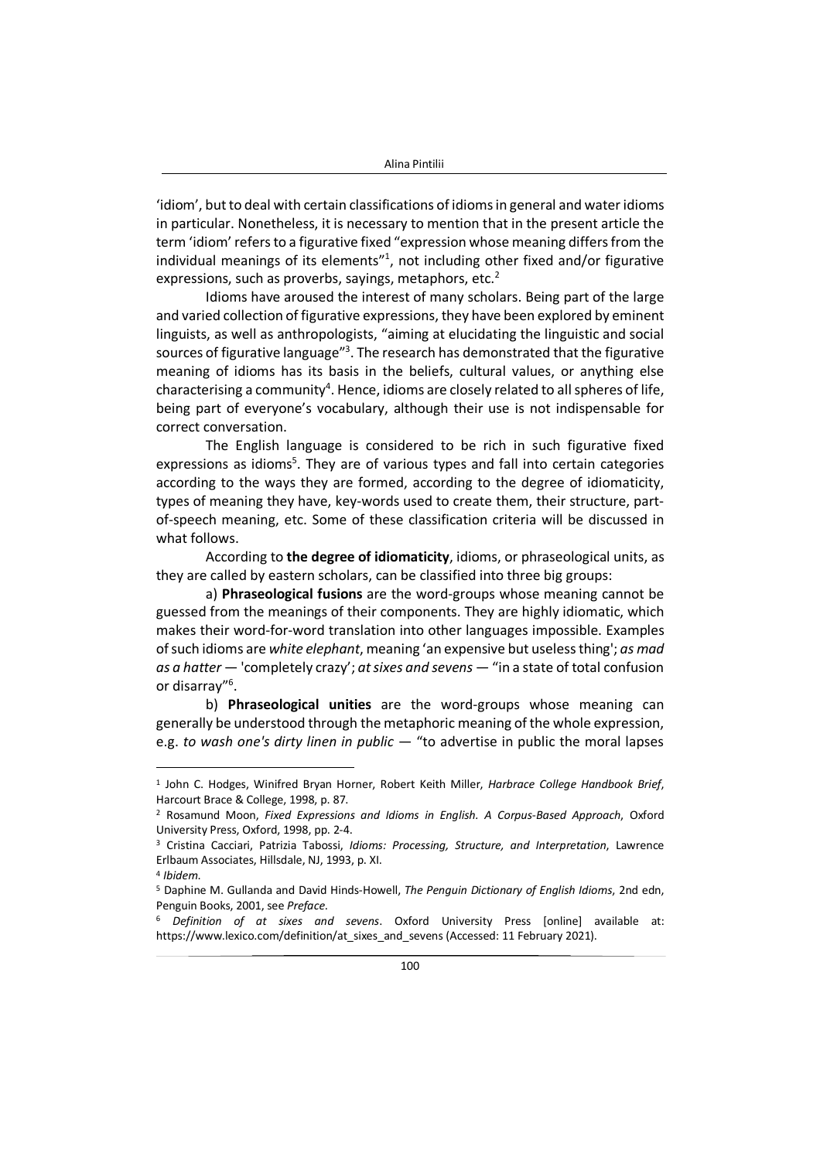'idiom', but to deal with certain classifications of idioms in general and water idioms in particular. Nonetheless, it is necessary to mention that in the present article the term 'idiom' refers to a figurative fixed "expression whose meaning differs from the individual meanings of its elements $"$ <sup>1</sup>, not including other fixed and/or figurative expressions, such as proverbs, sayings, metaphors, etc.<sup>2</sup>

Idioms have aroused the interest of many scholars. Being part of the large and varied collection of figurative expressions, they have been explored by eminent linguists, as well as anthropologists, "aiming at elucidating the linguistic and social sources of figurative language<sup>*n*3</sup>. The research has demonstrated that the figurative meaning of idioms has its basis in the beliefs, cultural values, or anything else characterising a community<sup>4</sup>. Hence, idioms are closely related to all spheres of life, being part of everyone's vocabulary, although their use is not indispensable for correct conversation.

The English language is considered to be rich in such figurative fixed expressions as idioms<sup>5</sup>. They are of various types and fall into certain categories according to the ways they are formed, according to the degree of idiomaticity, types of meaning they have, key-words used to create them, their structure, partof-speech meaning, etc. Some of these classification criteria will be discussed in what follows.

According to **the degree of idiomaticity**, idioms, or phraseological units, as they are called by eastern scholars, can be classified into three big groups:

a) **Phraseological fusions** are the word-groups whose meaning cannot be guessed from the meanings of their components. They are highly idiomatic, which makes their word-for-word translation into other languages impossible. Examples of such idioms are *white elephant*, meaning 'an expensive but useless thing'; *as mad as a hatter* — 'completely crazy'; *at sixes and sevens* — "in a state of total confusion or disarray"<sup>6</sup>.

b) **Phraseological unities** are the word-groups whose meaning can generally be understood through the metaphoric meaning of the whole expression, e.g. *to wash one's dirty linen in public* — "to advertise in public the moral lapses

<sup>1</sup> John C. Hodges, Winifred Bryan Horner, Robert Keith Miller, *Harbrace College Handbook Brief*, Harcourt Brace & College, 1998, p. 87.

<sup>2</sup> Rosamund Moon, *Fixed Expressions and Idioms in English. A Corpus-Based Approach*, Oxford University Press, Oxford, 1998, pp. 2-4.

<sup>3</sup> Cristina Cacciari, Patrizia Tabossi, *Idioms: Processing, Structure, and Interpretation*, Lawrence Erlbaum Associates, Hillsdale, NJ, 1993, p. XI.

<sup>4</sup> *Ibidem*.

<sup>5</sup> Daphine M. Gullanda and David Hinds-Howell, *The Penguin Dictionary of English Idioms*, 2nd edn, Penguin Books, 2001, see *Preface*.

<sup>6</sup> *Definition of at sixes and sevens*. Oxford University Press [online] available at: https://www.lexico.com/definition/at\_sixes\_and\_sevens (Accessed: 11 February 2021).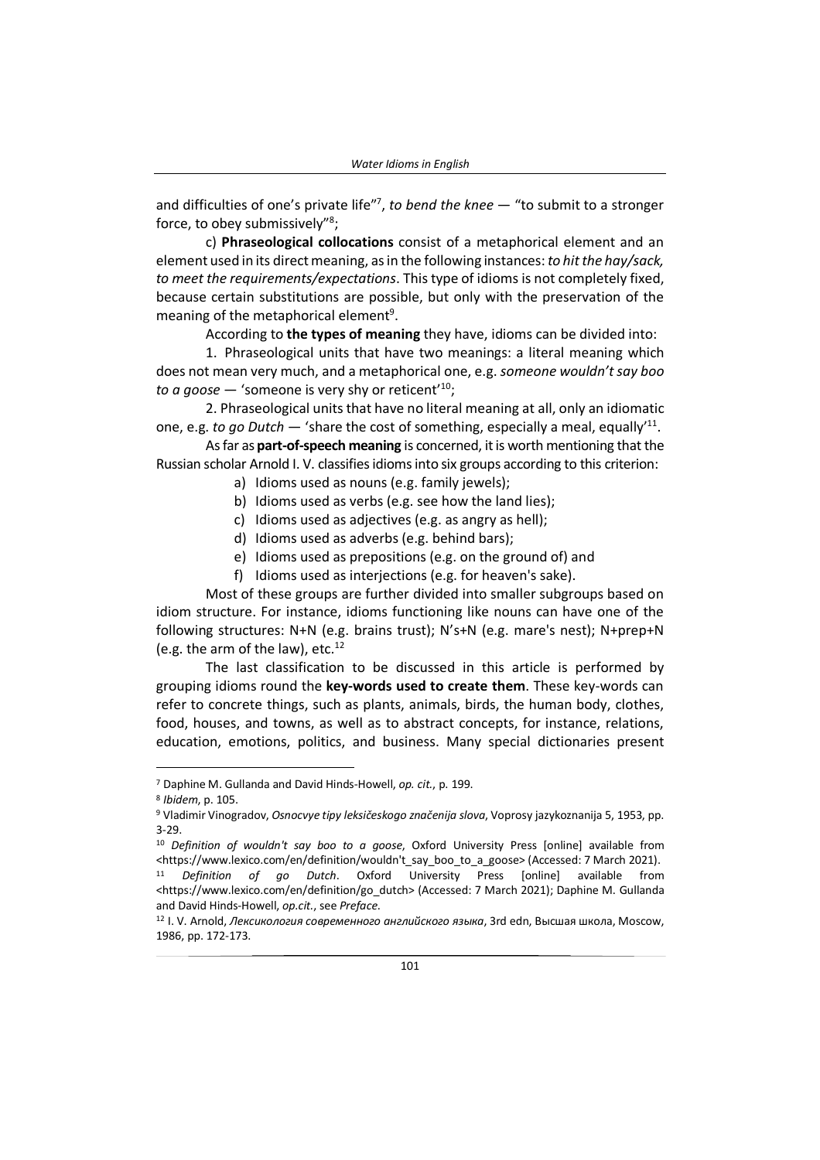and difficulties of one's private life"<sup>7</sup> , *to bend the knee* — "to submit to a stronger force, to obey submissively"<sup>8</sup>;

c) **Phraseological collocations** consist of a metaphorical element and an element used in its direct meaning, as in the following instances: *to hit the hay/sack, to meet the requirements/expectations*. This type of idioms is not completely fixed, because certain substitutions are possible, but only with the preservation of the meaning of the metaphorical element<sup>9</sup>.

According to **the types of meaning** they have, idioms can be divided into:

1. Phraseological units that have two meanings: a literal meaning which does not mean very much, and a metaphorical one, e.g. *someone wouldn't say boo to a goose*  $-$  'someone is very shy or reticent'<sup>10</sup>;

2. Phraseological units that have no literal meaning at all, only an idiomatic one, e.g. to go Dutch — 'share the cost of something, especially a meal, equally'<sup>11</sup>.

As far as **part-of-speech meaning** is concerned, it is worth mentioning that the Russian scholar Arnold I. V. classifies idioms into six groups according to this criterion:

- a) Idioms used as nouns (e.g. family jewels);
- b) Idioms used as verbs (e.g. see how the land lies);
- c) Idioms used as adjectives (e.g. as angry as hell);
- d) Idioms used as adverbs (e.g. behind bars);
- e) Idioms used as prepositions (e.g. on the ground of) and
- f) Idioms used as interjections (e.g. for heaven's sake).

Most of these groups are further divided into smaller subgroups based on idiom structure. For instance, idioms functioning like nouns can have one of the following structures: N+N (e.g. brains trust); N's+N (e.g. mare's nest); N+prep+N (e.g. the arm of the law), etc. $^{12}$ 

The last classification to be discussed in this article is performed by grouping idioms round the **key-words used to create them**. These key-words can refer to concrete things, such as plants, animals, birds, the human body, clothes, food, houses, and towns, as well as to abstract concepts, for instance, relations, education, emotions, politics, and business. Many special dictionaries present

<sup>7</sup> Daphine M. Gullanda and David Hinds-Howell, *op. cit.*, p. 199.

<sup>8</sup> *Ibidem*, p. 105.

<sup>9</sup> Vladimir Vinogradov, *Osnocvye tipy leksičeskogo značenija slova*, Voprosy jazykoznanija 5, 1953, pp. 3-29.

<sup>10</sup> *Definition of wouldn't say boo to a goose*, Oxford University Press [online] available from <https://www.lexico.com/en/definition/wouldn't\_say\_boo\_to\_a\_goose> (Accessed: 7 March 2021). <sup>11</sup> *Definition of go Dutch*. Oxford University Press [online] available from <https://www.lexico.com/en/definition/go\_dutch> (Accessed: 7 March 2021); Daphine M. Gullanda

and David Hinds-Howell, *op.cit.*, see *Preface*. <sup>12</sup> I. V. Arnold, *Лексикология современного английского языка*, 3rd edn, Высшая школа, Moscow,

<sup>1986,</sup> pp. 172-173.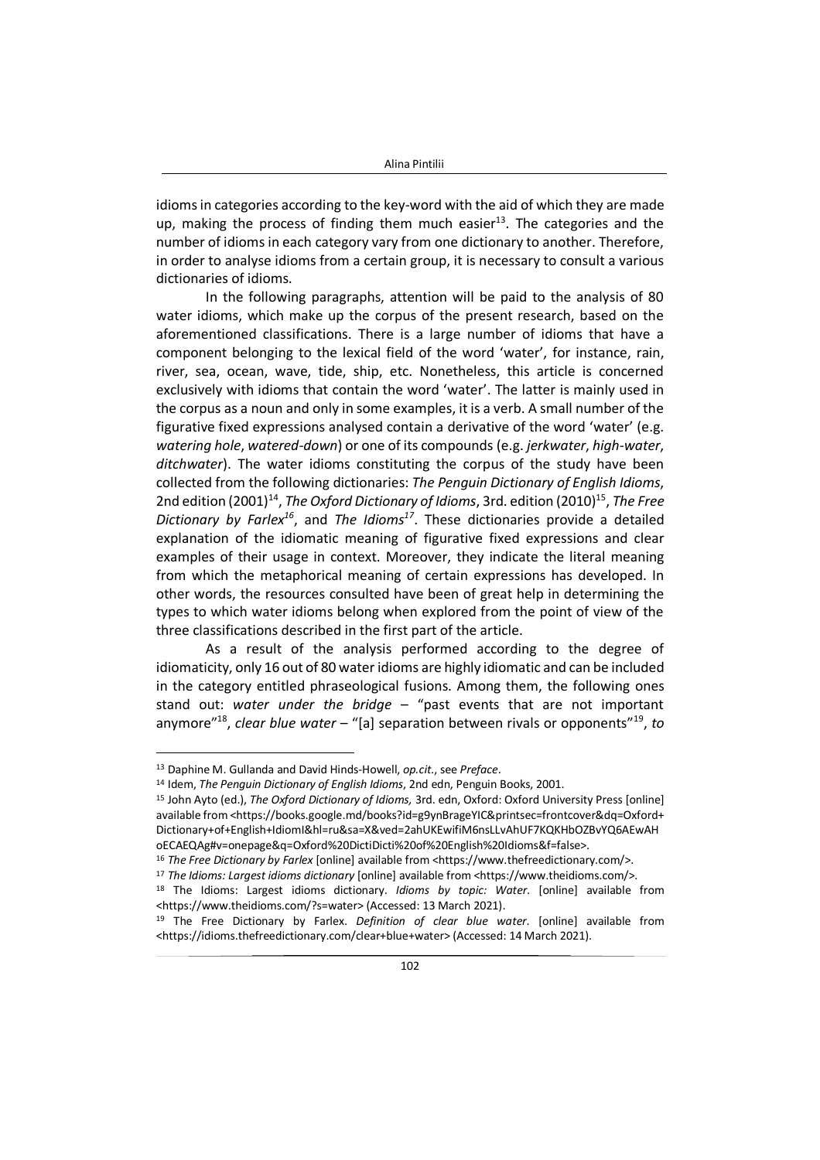idioms in categories according to the key-word with the aid of which they are made up, making the process of finding them much easier<sup>13</sup>. The categories and the number of idioms in each category vary from one dictionary to another. Therefore, in order to analyse idioms from a certain group, it is necessary to consult a various dictionaries of idioms.

In the following paragraphs, attention will be paid to the analysis of 80 water idioms, which make up the corpus of the present research, based on the aforementioned classifications. There is a large number of idioms that have a component belonging to the lexical field of the word 'water', for instance, rain, river, sea, ocean, wave, tide, ship, etc. Nonetheless, this article is concerned exclusively with idioms that contain the word 'water'. The latter is mainly used in the corpus as a noun and only in some examples, it is a verb. A small number of the figurative fixed expressions analysed contain a derivative of the word 'water' (e.g. *watering hole*, *watered-down*) or one of its compounds (e.g. *jerkwater*, *high-water*, *ditchwater*). The water idioms constituting the corpus of the study have been collected from the following dictionaries: *The Penguin Dictionary of English Idioms*, 2nd edition (2001)<sup>14</sup>, *The Oxford Dictionary of Idioms*, 3rd. edition (2010)<sup>15</sup>, *The Free Dictionary by Farlex<sup>16</sup>*, and *The Idioms<sup>17</sup>*. These dictionaries provide a detailed explanation of the idiomatic meaning of figurative fixed expressions and clear examples of their usage in context. Moreover, they indicate the literal meaning from which the metaphorical meaning of certain expressions has developed. In other words, the resources consulted have been of great help in determining the types to which water idioms belong when explored from the point of view of the three classifications described in the first part of the article.

As a result of the analysis performed according to the degree of idiomaticity, only 16 out of 80 water idioms are highly idiomatic and can be included in the category entitled phraseological fusions. Among them, the following ones stand out: *water under the bridge* – "past events that are not important anymore"<sup>18</sup> , *clear blue water* – "[a] separation between rivals or opponents"<sup>19</sup> , *to* 

<sup>13</sup> Daphine M. Gullanda and David Hinds-Howell, *op.cit.*, see *Preface*.

<sup>14</sup> Idem, *The Penguin Dictionary of English Idioms*, 2nd edn, Penguin Books, 2001.

<sup>15</sup> John Ayto (ed.), *The Oxford Dictionary of Idioms,* 3rd. edn, Oxford: Oxford University Press [online] available from <https://books.google.md/books?id=g9ynBrageYIC&printsec=frontcover&dq=Oxford+ Dictionary+of+English+IdiomI&hl=ru&sa=X&ved=2ahUKEwifiM6nsLLvAhUF7KQKHbOZBvYQ6AEwAH oECAEQAg#v=onepage&q=Oxford%20DictiDicti%20of%20English%20Idioms&f=false>.

<sup>&</sup>lt;sup>16</sup> The Free Dictionary by Farlex [online] available from <https://www.thefreedictionary.com/>.

<sup>17</sup> *The Idioms: Largest idioms dictionary* [online] available from <https://www.theidioms.com/>.

<sup>18</sup> The Idioms: Largest idioms dictionary. *Idioms by topic: Water*. [online] available from <https://www.theidioms.com/?s=water> (Accessed: 13 March 2021).

<sup>19</sup> The Free Dictionary by Farlex. *Definition of clear blue water*. [online] available from <https://idioms.thefreedictionary.com/clear+blue+water> (Accessed: 14 March 2021).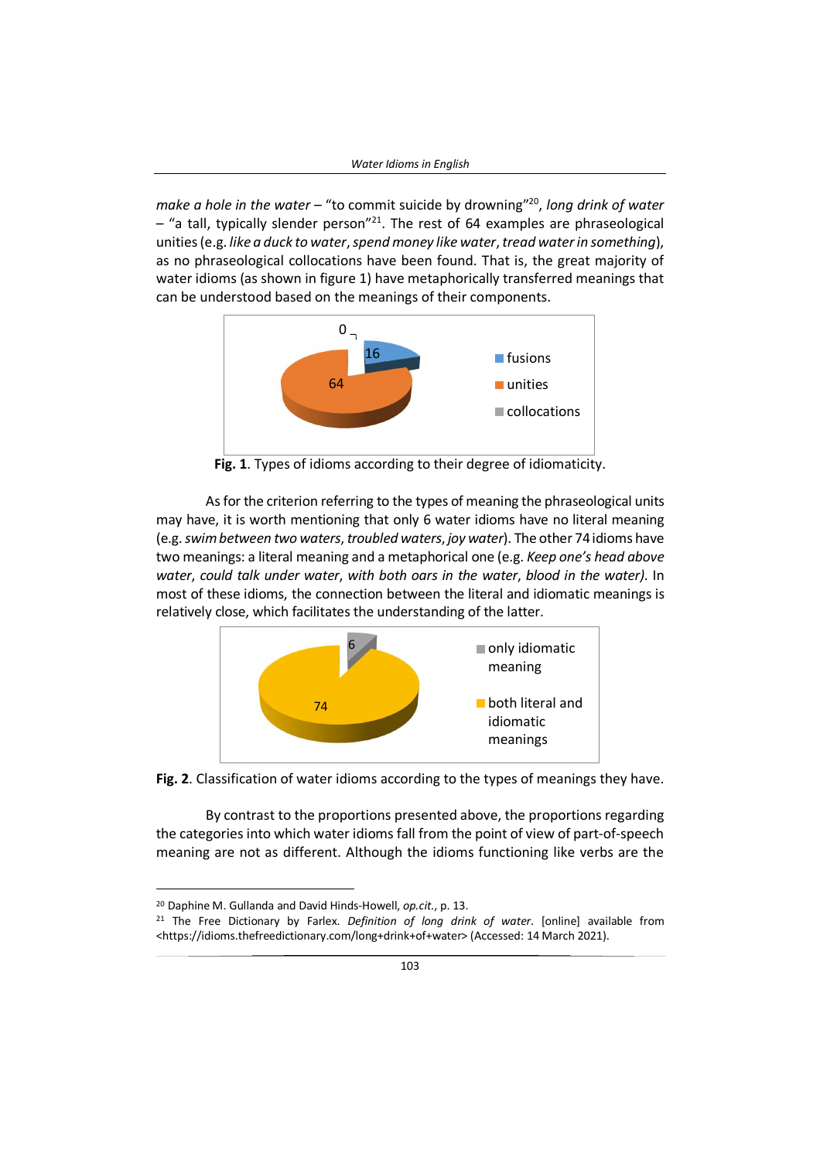*make a hole in the water* – "to commit suicide by drowning"<sup>20</sup> , *long drink of water*  $-$  "a tall, typically slender person"<sup>21</sup>. The rest of 64 examples are phraseological unities (e.g. *like a duck to water*, *spend money like water*, *tread waterin something*), as no phraseological collocations have been found. That is, the great majority of water idioms (as shown in figure 1) have metaphorically transferred meanings that can be understood based on the meanings of their components.



**Fig. 1**. Types of idioms according to their degree of idiomaticity.

As for the criterion referring to the types of meaning the phraseological units may have, it is worth mentioning that only 6 water idioms have no literal meaning (e.g. *swim between two waters*, *troubled waters*, *joy water*). The other 74 idioms have two meanings: a literal meaning and a metaphorical one (e.g. *Keep one's head above water*, *could talk under water*, *with both oars in the water*, *blood in the water)*. In most of these idioms, the connection between the literal and idiomatic meanings is relatively close, which facilitates the understanding of the latter.



**Fig. 2**. Classification of water idioms according to the types of meanings they have.

By contrast to the proportions presented above, the proportions regarding the categories into which water idioms fall from the point of view of part-of-speech meaning are not as different. Although the idioms functioning like verbs are the

<sup>20</sup> Daphine M. Gullanda and David Hinds-Howell, *op.cit.*, p. 13.

<sup>21</sup> The Free Dictionary by Farlex. *Definition of long drink of water*. [online] available from <https://idioms.thefreedictionary.com/long+drink+of+water> (Accessed: 14 March 2021).